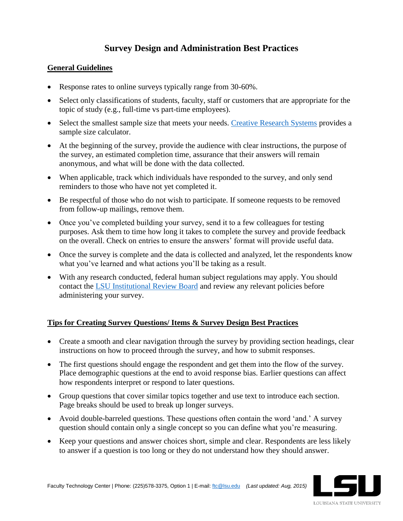# **Survey Design and Administration Best Practices**

### **General Guidelines**

- Response rates to online surveys typically range from 30-60%.
- Select only classifications of students, faculty, staff or customers that are appropriate for the topic of study (e.g., full-time vs part-time employees).
- Select the smallest sample size that meets your needs. [Creative Research Systems](http://www.surveysystem.com/sscalc.htm) provides a sample size calculator.
- At the beginning of the survey, provide the audience with clear instructions, the purpose of the survey, an estimated completion time, assurance that their answers will remain anonymous, and what will be done with the data collected.
- When applicable, track which individuals have responded to the survey, and only send reminders to those who have not yet completed it.
- Be respectful of those who do not wish to participate. If someone requests to be removed from follow-up mailings, remove them.
- Once you've completed building your survey, send it to a few colleagues for testing purposes. Ask them to time how long it takes to complete the survey and provide feedback on the overall. Check on entries to ensure the answers' format will provide useful data.
- Once the survey is complete and the data is collected and analyzed, let the respondents know what you've learned and what actions you'll be taking as a result.
- With any research conducted, federal human subject regulations may apply. You should contact the [LSU Institutional Review Board](http://sites01.lsu.edu/wp/ored/institutional-review-board) and review any relevant policies before administering your survey.

## **Tips for Creating Survey Questions/ Items & Survey Design Best Practices**

- Create a smooth and clear navigation through the survey by providing section headings, clear instructions on how to proceed through the survey, and how to submit responses.
- The first questions should engage the respondent and get them into the flow of the survey. Place demographic questions at the end to avoid response bias. Earlier questions can affect how respondents interpret or respond to later questions.
- Group questions that cover similar topics together and use text to introduce each section. Page breaks should be used to break up longer surveys.
- Avoid double-barreled questions. These questions often contain the word 'and.' A survey question should contain only a single concept so you can define what you're measuring.
- Keep your questions and answer choices short, simple and clear. Respondents are less likely to answer if a question is too long or they do not understand how they should answer.